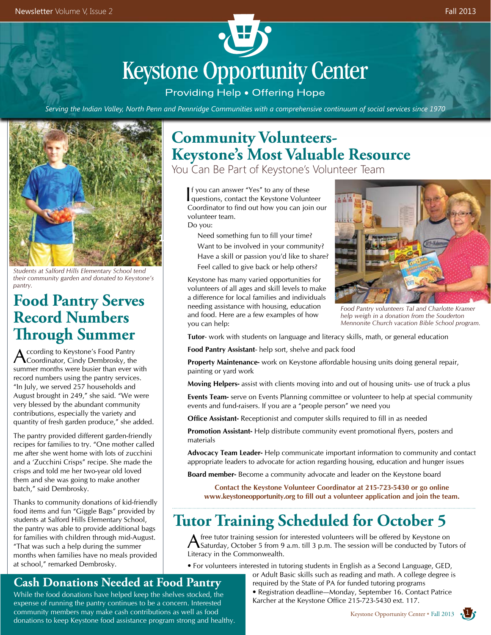# **Keystone Opportunity Center**

Providing Help . Offering Hope

*Serving the Indian Valley, North Penn and Pennridge Communities with a comprehensive continuum of social services since 1970*



*Students at Salford Hills Elementary School tend their community garden and donated to Keystone's pantry.*

#### **Food Pantry Serves Record Numbers Through Summer**

According to Keystone's Food Pantry<br>Coordinator, Cindy Dembrosky, the summer months were busier than ever with record numbers using the pantry services. "In July, we served 257 households and August brought in 249," she said. "We were very blessed by the abundant community contributions, especially the variety and quantity of fresh garden produce," she added.

The pantry provided different garden-friendly recipes for families to try. "One mother called me after she went home with lots of zucchini and a 'Zucchini Crisps" recipe. She made the crisps and told me her two-year old loved them and she was going to make another batch," said Dembrosky.

Thanks to community donations of kid-friendly food items and fun "Giggle Bags" provided by students at Salford Hills Elementary School, the pantry was able to provide additional bags for families with children through mid-August. "That was such a help during the summer months when families have no meals provided at school," remarked Dembrosky.

## **Community Volunteers-Keystone's Most Valuable Resource**

You Can Be Part of Keystone's Volunteer Team

I questions, contact the Keystone Volunteer f you can answer "Yes" to any of these Coordinator to find out how you can join our volunteer team.

Do you:

**1 2** Need something fun to fill your time?

 Want to be involved in your community? Have a skill or passion you'd like to share? Feel called to give back or help others?

Keystone has many varied opportunities for volunteers of all ages and skill levels to make a difference for local families and individuals needing assistance with housing, education and food. Here are a few examples of how you can help:



*Food Pantry volunteers Tal and Charlotte Kramer help weigh in a donation from the Souderton Mennonite Church vacation Bible School program.* 

**Tutor**- work with students on language and literacy skills, math, or general education

**Food Pantry Assistant**- help sort, shelve and pack food

**Property Maintenance-** work on Keystone affordable housing units doing general repair, painting or yard work

**Moving Helpers-** assist with clients moving into and out of housing units- use of truck a plus

**Events Team-** serve on Events Planning committee or volunteer to help at special community events and fund-raisers. If you are a "people person" we need you

**Office Assistant-** Receptionist and computer skills required to fill in as needed

**Promotion Assistant-** Help distribute community event promotional flyers, posters and materials

**Advocacy Team Leader-** Help communicate important information to community and contact appropriate leaders to advocate for action regarding housing, education and hunger issues

**Board member-** Become a community advocate and leader on the Keystone board

**Contact the Keystone Volunteer Coordinator at 215-723-5430 or go online www.keystoneopportunity.org to fill out a volunteer application and join the team.**

## **Tutor Training Scheduled for October 5**

A free tutor training session for interested volunteers will be offered by Keystone on Saturday, October 5 from 9 a.m. till 3 p.m. The session will be conducted by Tutors of Literacy in the Commonwealth.

• For volunteers interested in tutoring students in English as a Second Language, GED,

#### or Adult Basic skills such as reading and math. A college degree is required by the State of PA for funded tutoring programs

• Registration deadline—Monday, September 16. Contact Patrice Karcher at the Keystone Office 215-723-5430 ext. 117.

#### **Cash Donations Needed at Food Pantry**

While the food donations have helped keep the shelves stocked, the expense of running the pantry continues to be a concern. Interested community members may make cash contributions as well as food donations to keep Keystone food assistance program strong and healthy.

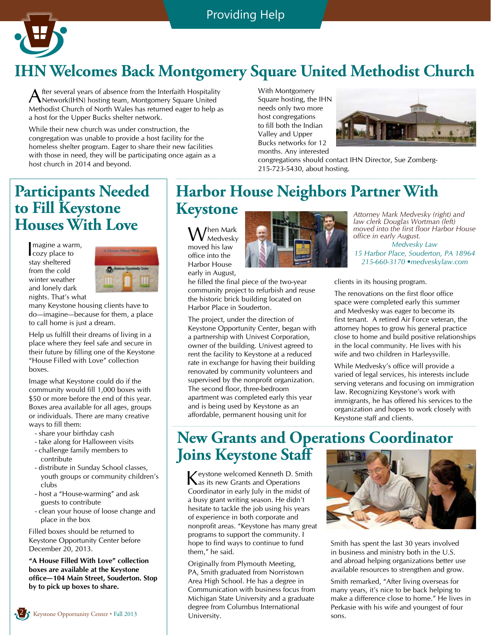

# **IHN Welcomes Back Montgomery Square United Methodist Church**

After several years of absence from the Interfaith Hospitality<br>Network(IHN) hosting team, Montgomery Square United Methodist Church of North Wales has returned eager to help as a host for the Upper Bucks shelter network.

While their new church was under construction, the congregation was unable to provide a host facility for the homeless shelter program. Eager to share their new facilities with those in need, they will be participating once again as a host church in 2014 and beyond.

With Montgomery Square hosting, the IHN needs only two more host congregations to fill both the Indian Valley and Upper Bucks networks for 12 months. Any interested



congregations should contact IHN Director, Sue Zomberg-215-723-5430, about hosting.

#### **Participants Needed to Fill Keystone Houses With Love**

I magine a warn<br>
cozy place to magine a warm, stay sheltered from the cold winter weather and lonely dark nights. That's what



many Keystone housing clients have to do—imagine—because for them, a place to call home is just a dream.

Help us fulfill their dreams of living in a place where they feel safe and secure in their future by filling one of the Keystone "House Filled with Love" collection boxes.

Image what Keystone could do if the community would fill 1,000 boxes with \$50 or more before the end of this year. Boxes area available for all ages, groups or individuals. There are many creative ways to fill them:

- share your birthday cash
- take along for Halloween visits
- challenge family members to contribute
- distribute in Sunday School classes, youth groups or community children's clubs
- host a "House-warming" and ask guests to contribute
- clean your house of loose change and place in the box

Filled boxes should be returned to Keystone Opportunity Center before December 20, 2013.

**"A House Filled With Love" collection boxes are available at the Keystone office—104 Main Street, Souderton. Stop by to pick up boxes to share.**

## **Harbor House Neighbors Partner With Keystone**

When Mark Medvesky moved his law office into the Harbor House early in August,

Harbor Place in Souderton.

The project, under the direction of Keystone Opportunity Center, began with a partnership with Univest Corporation, owner of the building. Univest agreed to rent the facility to Keystone at a reduced rate in exchange for having their building renovated by community volunteers and supervised by the nonprofit organization. The second floor, three-bedroom apartment was completed early this year and is being used by Keystone as an affordable, permanent housing unit for



*Attorney Mark Medvesky (right) and law clerk Douglas Wortman (left) moved into the first floor Harbor House office in early August. Medvesky Law 15 Harbor Place, Souderton, PA 18964 215-660-3170 •medveskylaw.com* 

he filled the final piece of the two-year community project to refurbish and reuse the historic brick building located on clients in its housing program.

The renovations on the first floor office space were completed early this summer and Medvesky was eager to become its first tenant. A retired Air Force veteran, the attorney hopes to grow his general practice close to home and build positive relationships in the local community. He lives with his wife and two children in Harleysville.

While Medvesky's office will provide a varied of legal services, his interests include serving veterans and focusing on immigration law. Recognizing Keystone's work with immigrants, he has offered his services to the organization and hopes to work closely with Keystone staff and clients.

#### **New Grants and Operations Coordinator Joins Keystone Staff**

Keystone welcomed Kenneth D. Smith as its new Grants and Operations Coordinator in early July in the midst of a busy grant writing season. He didn't hesitate to tackle the job using his years of experience in both corporate and nonprofit areas. "Keystone has many great programs to support the community. I hope to find ways to continue to fund them," he said.

Originally from Plymouth Meeting, PA, Smith graduated from Norristown Area High School. He has a degree in Communication with business focus from Michigan State University and a graduate degree from Columbus International University.



Smith has spent the last 30 years involved in business and ministry both in the U.S. and abroad helping organizations better use available resources to strengthen and grow.

Smith remarked, "After living overseas for many years, it's nice to be back helping to make a difference close to home." He lives in Perkasie with his wife and youngest of four sons.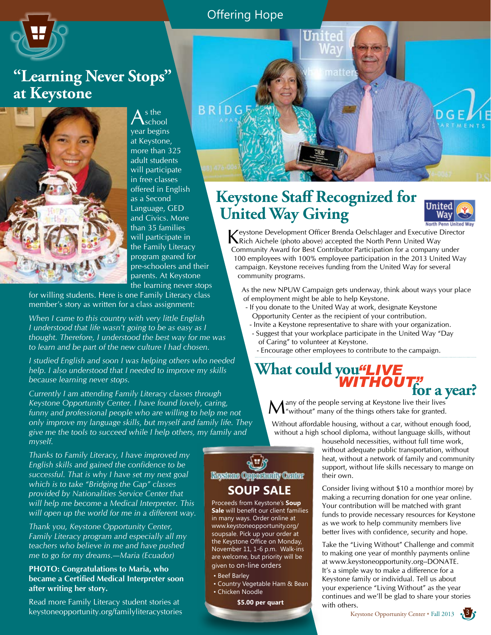#### Offering Hope

 $D G$ 



#### **"Learning Never Stops" at Keystone**



 $A<sub>school</sub><sub>0</sub>$ year begins at Keystone, more than 325 adult students will participate in free classes offered in English as a Second Language, GED and Civics. More than 35 families will participate in the Family Literacy program geared for pre-schoolers and their parents. At Keystone the learning never stops

for willing students. Here is one Family Literacy class member's story as written for a class assignment:

*When I came to this country with very little English I understood that life wasn't going to be as easy as I thought. Therefore, I understood the best way for me was to learn and be part of the new culture I had chosen.*

*I studied English and soon I was helping others who needed help. I also understood that I needed to improve my skills because learning never stops.*

*Currently I am attending Family Literacy classes through Keystone Opportunity Center. I have found lovely, caring, funny and professional people who are willing to help me not only improve my language skills, but myself and family life. They give me the tools to succeed while I help others, my family and myself.*

*Thanks to Family Literacy, I have improved my English skills and gained the confidence to be successful. That is why I have set my next goal which is to take "Bridging the Gap" classes provided by Nationalities Service Center that will help me become a Medical Interpreter. This will open up the world for me in a different way.*

*Thank you, Keystone Opportunity Center, Family Literacy program and especially all my teachers who believe in me and have pushed me to go for my dreams.—Maria (Ecuador)*

#### **PHOTO: Congratulations to Maria, who became a Certified Medical Interpreter soon after writing her story.**

Read more Family Literacy student stories at keystoneopportunity.org/familyliteracystories Keystone Opportunity Center • Fall 2013

## **Keystone Staff Recognized for United Way Giving**

United

matte



Keystone Development Officer Brenda Oelschlager and Executive Director Rich Aichele (photo above) accepted the North Penn United Way Community Award for Best Contributor Participation for a company under 100 employees with 100% employee participation in the 2013 United Way campaign. Keystone receives funding from the United Way for several community programs.

As the new NPUW Campaign gets underway, think about ways your place of employment might be able to help Keystone.

- If you donate to the United Way at work, designate Keystone Opportunity Center as the recipient of your contribution.
- Invite a Keystone representative to share with your organization.
- Suggest that your workplace participate in the United Way "Day of Caring" to volunteer at Keystone.
	- Encourage other employees to contribute to the campaign.

# What could you"LIVE *WITHOUT"***for a year?**

Many of the people serving at Keystone live their lives<br>
We "without" many of the things others take for granted.

Without affordable housing, without a car, without enough food, without a high school diploma, without language skills, without

> household necessities, without full time work, without adequate public transportation, without heat, without a network of family and community support, without life skills necessary to mange on their own.

> Consider living without \$10 a month(or more) by making a recurring donation for one year online. Your contribution will be matched with grant funds to provide necessary resources for Keystone as we work to help community members live better lives with confidence, security and hope.

> Take the "Living Without" Challenge and commit to making one year of monthly payments online at www.keystoneopportunity.org--DONATE. It's a simple way to make a difference for a Keystone family or individual. Tell us about your experience "Living Without" as the year continues and we'll be glad to share your stories with others.



#### **SOUP SALE**

Proceeds from Keystone's **Soup Sale** will benefit our client families in many ways. Order online at www.keystoneopportunity.org/ soupsale. Pick up your order at the Keystone Office on Monday, November 11, 1-6 p.m. Walk-ins are welcome, but priority will be given to on-line orders

- Beef Barley
- Country Vegetable Ham & Bean • Chicken Noodle

**\$5.00 per quart**